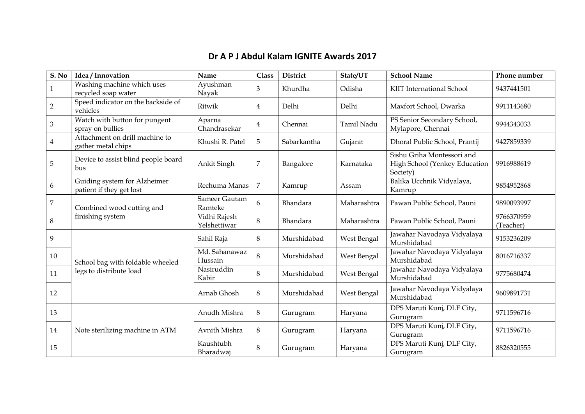## **Dr A P J Abdul Kalam IGNITE Awards 2017**

| S. No          | Idea / Innovation                                           | Name                         | <b>Class</b>   | <b>District</b> | State/UT    | <b>School Name</b>                                                      | Phone number            |
|----------------|-------------------------------------------------------------|------------------------------|----------------|-----------------|-------------|-------------------------------------------------------------------------|-------------------------|
| 1              | Washing machine which uses<br>recycled soap water           | Ayushman<br>Nayak            | 3              | Khurdha         | Odisha      | <b>KIIT International School</b>                                        | 9437441501              |
| $\overline{2}$ | Speed indicator on the backside of<br>vehicles              | Ritwik                       | $\overline{4}$ | Delhi           | Delhi       | Maxfort School, Dwarka                                                  | 9911143680              |
| $\mathfrak{B}$ | Watch with button for pungent<br>spray on bullies           | Aparna<br>Chandrasekar       | $\overline{4}$ | Chennai         | Tamil Nadu  | PS Senior Secondary School,<br>Mylapore, Chennai                        | 9944343033              |
| $\overline{4}$ | Attachment on drill machine to<br>gather metal chips        | Khushi R. Patel              | 5              | Sabarkantha     | Gujarat     | Dhoral Public School, Prantij                                           | 9427859339              |
| 5              | Device to assist blind people board<br>bus                  | Ankit Singh                  | $\overline{7}$ | Bangalore       | Karnataka   | Sishu Griha Montessori and<br>High School (Yenkey Education<br>Society) | 9916988619              |
| 6              | Guiding system for Alzheimer<br>patient if they get lost    | Rechuma Manas                | $\overline{7}$ | Kamrup          | Assam       | Balika Ucchnik Vidyalaya,<br>Kamrup                                     | 9854952868              |
| 7              | Combined wood cutting and<br>finishing system               | Sameer Gautam<br>Ramteke     | 6              | Bhandara        | Maharashtra | Pawan Public School, Pauni                                              | 9890093997              |
| $\,8\,$        |                                                             | Vidhi Rajesh<br>Yelshettiwar | $\,8\,$        | Bhandara        | Maharashtra | Pawan Public School, Pauni                                              | 9766370959<br>(Teacher) |
| 9              |                                                             | Sahil Raja                   | 8              | Murshidabad     | West Bengal | Jawahar Navodaya Vidyalaya<br>Murshidabad                               | 9153236209              |
| 10             | School bag with foldable wheeled<br>legs to distribute load | Md. Sahanawaz<br>Hussain     | 8              | Murshidabad     | West Bengal | Jawahar Navodaya Vidyalaya<br>Murshidabad                               | 8016716337              |
| 11             |                                                             | Nasiruddin<br>Kabir          | 8              | Murshidabad     | West Bengal | Jawahar Navodaya Vidyalaya<br>Murshidabad                               | 9775680474              |
| 12             |                                                             | Arnab Ghosh                  | 8              | Murshidabad     | West Bengal | Jawahar Navodaya Vidyalaya<br>Murshidabad                               | 9609891731              |
| 13             | Note sterilizing machine in ATM                             | Anudh Mishra                 | $\, 8$         | Gurugram        | Haryana     | DPS Maruti Kunj, DLF City,<br>Gurugram                                  | 9711596716              |
| 14             |                                                             | Avnith Mishra                | $\, 8$         | Gurugram        | Haryana     | DPS Maruti Kunj, DLF City,<br>Gurugram                                  | 9711596716              |
| 15             |                                                             | Kaushtubh<br>Bharadwaj       | 8              | Gurugram        | Haryana     | DPS Maruti Kunj, DLF City,<br>Gurugram                                  | 8826320555              |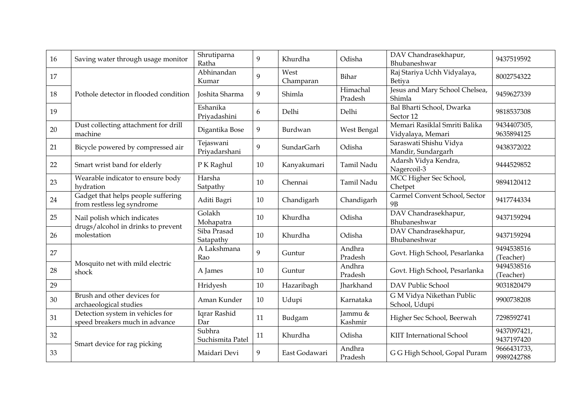| 16 | Saving water through usage monitor                                 | Shrutiparna<br>Ratha       | 9  | Khurdha           | Odisha              | DAV Chandrasekhapur,<br>Bhubaneshwar               | 9437519592                |
|----|--------------------------------------------------------------------|----------------------------|----|-------------------|---------------------|----------------------------------------------------|---------------------------|
| 17 |                                                                    | Abhinandan<br>Kumar        | 9  | West<br>Champaran | Bihar               | Raj Stariya Uchh Vidyalaya,<br>Betiya              | 8002754322                |
| 18 | Pothole detector in flooded condition                              | Joshita Sharma             | 9  | Shimla            | Himachal<br>Pradesh | Jesus and Mary School Chelsea,<br>Shimla           | 9459627339                |
| 19 |                                                                    | Eshanika<br>Priyadashini   | 6  | Delhi             | Delhi               | Bal Bharti School, Dwarka<br>Sector 12             | 9818537308                |
| 20 | Dust collecting attachment for drill<br>machine                    | Digantika Bose             | 9  | Burdwan           | West Bengal         | Memari Rasiklal Smriti Balika<br>Vidyalaya, Memari | 9434407305,<br>9635894125 |
| 21 | Bicycle powered by compressed air                                  | Tejaswani<br>Priyadarshani | 9  | SundarGarh        | Odisha              | Saraswati Shishu Vidya<br>Mandir, Sundargarh       | 9438372022                |
| 22 | Smart wrist band for elderly                                       | P K Raghul                 | 10 | Kanyakumari       | Tamil Nadu          | Adarsh Vidya Kendra,<br>Nagercoil-3                | 9444529852                |
| 23 | Wearable indicator to ensure body<br>hydration                     | Harsha<br>Satpathy         | 10 | Chennai           | Tamil Nadu          | MCC Higher Sec School,<br>Chetpet                  | 9894120412                |
| 24 | Gadget that helps people suffering<br>from restless leg syndrome   | Aditi Bagri                | 10 | Chandigarh        | Chandigarh          | Carmel Convent School, Sector<br><b>9B</b>         | 9417744334                |
| 25 | Nail polish which indicates                                        | Golakh<br>Mohapatra        | 10 | Khurdha           | Odisha              | DAV Chandrasekhapur,<br>Bhubaneshwar               | 9437159294                |
| 26 | drugs/alcohol in drinks to prevent<br>molestation                  | Siba Prasad<br>Satapathy   | 10 | Khurdha           | Odisha              | DAV Chandrasekhapur,<br>Bhubaneshwar               | 9437159294                |
| 27 | Mosquito net with mild electric<br>shock                           | A Lakshmana<br>Rao         | 9  | Guntur            | Andhra<br>Pradesh   | Govt. High School, Pesarlanka                      | 9494538516<br>(Teacher)   |
| 28 |                                                                    | A James                    | 10 | Guntur            | Andhra<br>Pradesh   | Govt. High School, Pesarlanka                      | 9494538516<br>(Teacher)   |
| 29 |                                                                    | Hridyesh                   | 10 | Hazaribagh        | <b>Iharkhand</b>    | DAV Public School                                  | 9031820479                |
| 30 | Brush and other devices for<br>archaeological studies              | Aman Kunder                | 10 | Udupi             | Karnataka           | G M Vidya Nikethan Public<br>School, Udupi         | 9900738208                |
| 31 | Detection system in vehicles for<br>speed breakers much in advance | Iqrar Rashid<br>Dar        | 11 | Budgam            | Jammu &<br>Kashmir  | Higher Sec School, Beerwah                         | 7298592741                |
| 32 | Smart device for rag picking                                       | Subhra<br>Suchismita Patel | 11 | Khurdha           | Odisha              | KIIT International School                          | 9437097421,<br>9437197420 |
| 33 |                                                                    | Maidari Devi               | 9  | East Godawari     | Andhra<br>Pradesh   | G G High School, Gopal Puram                       | 9666431733,<br>9989242788 |